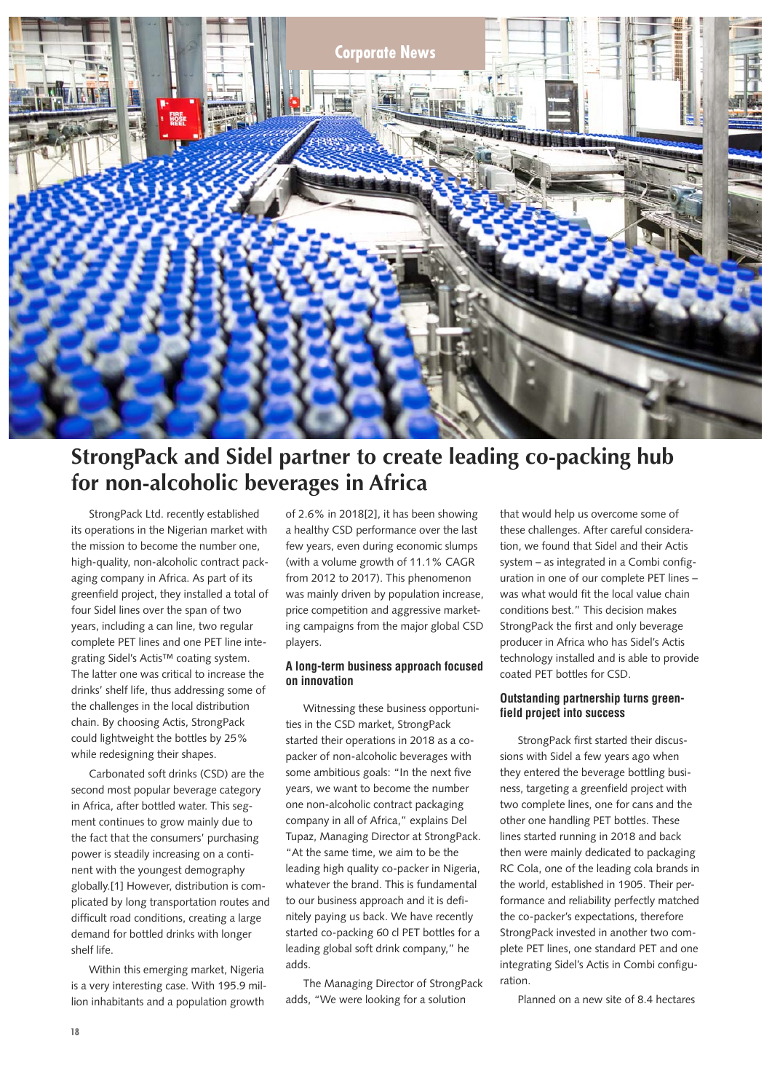

# **StrongPack and Sidel partner to create leading co-packing hub for non-alcoholic beverages in Africa**

StrongPack Ltd. recently established its operations in the Nigerian market with the mission to become the number one, high-quality, non-alcoholic contract packaging company in Africa. As part of its greenfield project, they installed a total of four Sidel lines over the span of two years, including a can line, two regular complete PET lines and one PET line integrating Sidel's Actis™ coating system. The latter one was critical to increase the drinks' shelf life, thus addressing some of the challenges in the local distribution chain. By choosing Actis, StrongPack could lightweight the bottles by 25% while redesigning their shapes.

Carbonated soft drinks (CSD) are the second most popular beverage category in Africa, after bottled water. This segment continues to grow mainly due to the fact that the consumers' purchasing power is steadily increasing on a continent with the youngest demography globally.[1] However, distribution is complicated by long transportation routes and difficult road conditions, creating a large demand for bottled drinks with longer shelf life.

Within this emerging market, Nigeria is a very interesting case. With 195.9 million inhabitants and a population growth

of 2.6% in 2018[2], it has been showing a healthy CSD performance over the last few years, even during economic slumps (with a volume growth of 11.1% CAGR from 2012 to 2017). This phenomenon was mainly driven by population increase, price competition and aggressive marketing campaigns from the major global CSD players.

## **A long-term business approach focused on innovation**

Witnessing these business opportunities in the CSD market, StrongPack started their operations in 2018 as a copacker of non-alcoholic beverages with some ambitious goals: "In the next five years, we want to become the number one non-alcoholic contract packaging company in all of Africa," explains Del Tupaz, Managing Director at StrongPack. "At the same time, we aim to be the leading high quality co-packer in Nigeria, whatever the brand. This is fundamental to our business approach and it is definitely paying us back. We have recently started co-packing 60 cl PET bottles for a leading global soft drink company," he adds.

The Managing Director of StrongPack adds, "We were looking for a solution

that would help us overcome some of these challenges. After careful consideration, we found that Sidel and their Actis system – as integrated in a Combi configuration in one of our complete PET lines – was what would fit the local value chain conditions best." This decision makes StrongPack the first and only beverage producer in Africa who has Sidel's Actis technology installed and is able to provide coated PET bottles for CSD.

### **Outstanding partnership turns greenfield project into success**

StrongPack first started their discussions with Sidel a few years ago when they entered the beverage bottling business, targeting a greenfield project with two complete lines, one for cans and the other one handling PET bottles. These lines started running in 2018 and back then were mainly dedicated to packaging RC Cola, one of the leading cola brands in the world, established in 1905. Their performance and reliability perfectly matched the co-packer's expectations, therefore StrongPack invested in another two complete PET lines, one standard PET and one integrating Sidel's Actis in Combi configuration.

Planned on a new site of 8.4 hectares